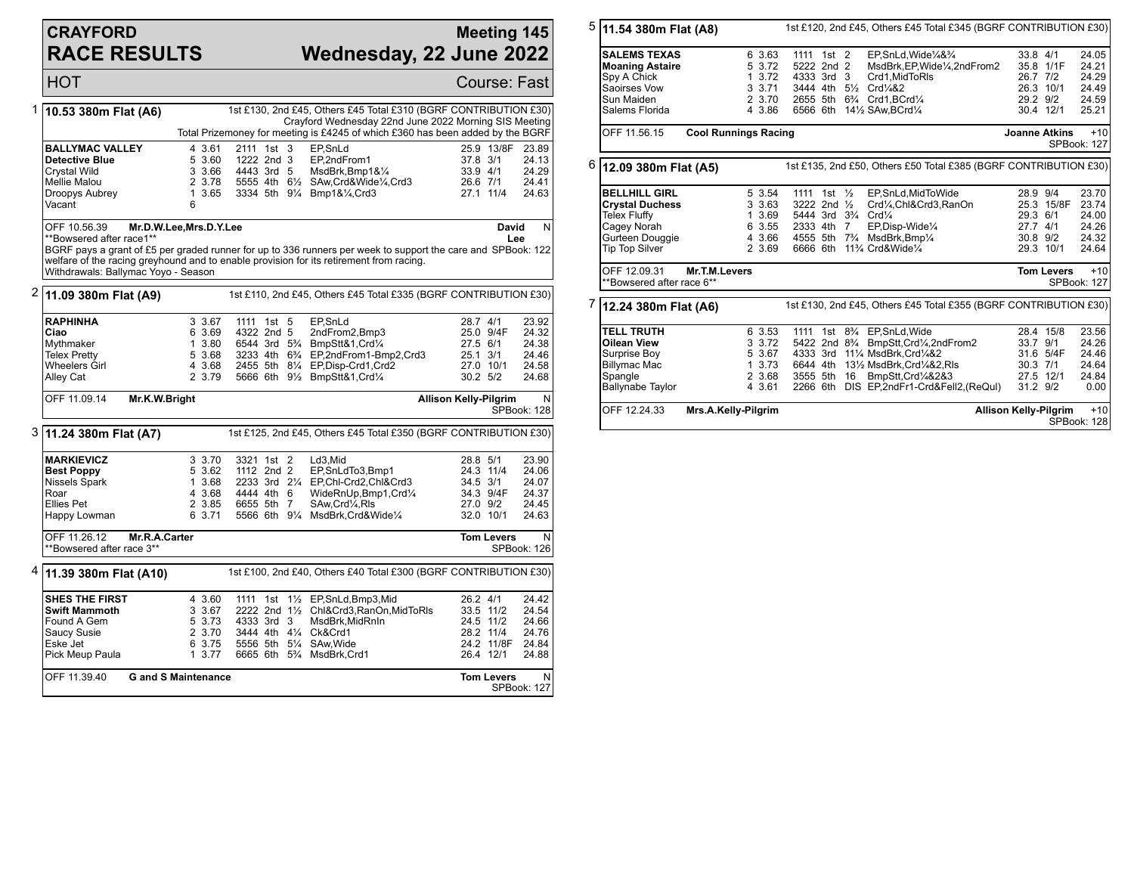## **CRAYFORD RACE RESULTS**

## **Meeting 145 Wednesday, 22 June 2022**

HOT Course: Fast 1 **10.53 380m Flat (A6)** 1st £130, 2nd £45, Others £45 Total £310 (BGRF CONTRIBUTION £30) Crayford Wednesday 22nd June 2022 Morning SIS Meeting Total Prizemoney for meeting is £4245 of which £360 has been added by the BGRF **BALLYMAC VALLEY** 4 3.61 2111 1st 3 EP, SnLd 25.9 13/8F 23.89<br> **Detective Blue** 5 3.60 1222 2nd 3 EP, 2nd From 1 37.8 3/1 24.13 **Detective Blue** 5 3.60 1222 2nd 3 EP, 2nd From 1 37.8 3/1 24.13<br>Crystal Wild 3 3.66 4443 3rd 5 MsdBrk, Bmp1&1/<sub>4</sub> 33.9 4/1 24.29 Crystal Wild 3 3.66 4443 3rd 5 MsdBrk,Bmp1&¼ 33.9 4/1 24.29 Mellie Malou 2 3.78 5555 4th 6½ SAw,Crd&Wide¼,Crd3 26.6 7/1 24.41 1 3.65 3334 5th 9¼ Bmp1&¼,Crd3 Vacant OFF 10.56.39 **Mr.D.W.Lee,Mrs.D.Y.Lee** \*\*Bowsered after race1\*\* BGRF pays a grant of £5 per graded runner for up to 336 runners per week to support the care and SPBook: 122 welfare of the racing greyhound and to enable provision for its retirement from racing. Withdrawals: Ballymac Yoyo - Season **David Lee** N 2 **11.09 380m Flat (A9)** 1st £110, 2nd £45, Others £45 Total £335 (BGRF CONTRIBUTION £30) **RAPHINHA** 3 3.67 1111 1st 5 EP,SnLd 28.7 4/1 23.92<br> **Ciao** 6 3.69 4322 2nd 5 2ndFrom2,Bmp3 25.0 9/4F 24.32 **Ciao** 6 3.69 4322 2nd 5 2ndFrom2,Bmp3 25.0 9/4F 24.32<br>Mythmaker 1 3.80 6544 3rd 5<sup>3</sup>/<sub>4</sub> BmpStt&1,Crd<sup>1</sup>/<sub>4</sub> 27.5 6/1 24.38 Mythmaker 1 3.80 6544 3rd 5<sup>3</sup>/<sub>4</sub> BmpStt&1,Crd<sup>1</sup>/<sub>4</sub> 27.5 6/1 24.38<br>Telex Pretty 5 3.68 3233 4th 6<sup>3</sup>/<sub>4</sub> EP,2ndFrom1-Bmp2,Crd3 25.1 3/1 24.46 Telex Pretty 5 3.68 3233 4th 6¾ EP,2ndFrom1-Bmp2,Crd3 25.1 3/1 24.46 Wheelers Girl **4 3.68 2455 5th 81/4 EP,Disp-Crd1,Crd2** 27.0 10/1<br>Alley Cat **2 3.79 5666 6th 91/<sub>2</sub> BmpStt&1,Crd1/4** 30.2 5/2 2 3.79 5666 6th 91/<sub>2</sub> BmpStt&1,Crd1/<sub>4</sub> 30.2 5/2 24.68 OFF 11.09.14 **Mr.K.W.Bright Allison Kelly-Pilgrim** N SPBook: 128 3 **11.24 380m Flat (A7)** 1st £125, 2nd £45, Others £45 Total £350 (BGRF CONTRIBUTION £30) **MARKIEVICZ** 3 3.70 3321 1st 2 Ld3, Mid 32.8 5/1 23.90<br> **Best Poppy** 5 3.62 1112 2nd 2 EP, SnLdTo3, Bmp1 24.3 11/4 24.06 **Best Poppy** 5 3.62 1112 2nd 2 EP, SnLdTo3, Bmp1 24.3 11/4 24.06<br>Nissels Spark 1 3.68 2233 3rd 21/4 EP, Chl-Crd2, Chl&Crd3 34.5 3/1 24.07 Nissels Spark 1 3.68 2233 3rd 21/<sub>4</sub> EP,Chl-Crd2,Chl&Crd3 34.5 3/1 24.07<br>Roar 1 34.3 9/4F 24.37 44.44 4th 6 WideRnUp,Bmp1,Crd1/<sub>4</sub> 34.3 9/4F Roar 4 3.68 4444 4th 6 WideRnUp,Bmp1,Crd¼ 34.3 9/4F 24.37 Ellies Pet 2 3.85 6655 5th 7 SAw,Crd¼,Rls 27.0 9/2 24.45 5566 6th 9¼ MsdBrk,Crd&Wide¼ OFF 11.26.12 **Mr.R.A.Carter** \*\*Bowsered after race 3\*\* **Tom Levers** N SPBook: 126 4 **11.39 380m Flat (A10)** 1st £100, 2nd £40, Others £40 Total £300 (BGRF CONTRIBUTION £30) **SHES THE FIRST** 4 3.60 1111 1st 1<sup>1</sup>/<sub>2</sub> EP, SnLd, Bmp3, Mid 26.2 4/1 24.42<br> **Swift Mammoth** 3 3.67 2222 2nd 1<sup>1</sup>/<sub>2</sub> Chi&Crd3, RanOn, MidToRls 33.5 11/2 24.54 **Swift Mammoth** 3 3.67 2222 2nd 1½ Chl&Crd3,RanOn,MidToRls 33.5 11/2 24.54 Found A Gem 5 3.73 4333 3rd 3 MsdBrk,MidRnIn 24.5 11/2 24.66 Saucy Susie 2 3.70 3444 4th 4¼ Ck&Crd1 28.2 11/4 24.76 Eske Jet 6 3.75 5556 5th 5¼ SAw,Wide 24.2 11/8F 24.84 6665 6th 5<sup>3</sup>/<sub>4</sub> MsdBrk,Crd1 OFF 11.39.40 **G and S Maintenance Tom Levers** N SPBook: 127

| 5 | 11.54 380m Flat (A8)                                                                                          |                             | 1st £120, 2nd £45, Others £45 Total £345 (BGRF CONTRIBUTION £30) |          |                                                                                  |                                              |                                                                                                                                                                                                                                   |                                  |                                                 |                                                    |  |
|---|---------------------------------------------------------------------------------------------------------------|-----------------------------|------------------------------------------------------------------|----------|----------------------------------------------------------------------------------|----------------------------------------------|-----------------------------------------------------------------------------------------------------------------------------------------------------------------------------------------------------------------------------------|----------------------------------|-------------------------------------------------|----------------------------------------------------|--|
|   | <b>SALEMS TEXAS</b><br><b>Moaning Astaire</b><br>Spy A Chick<br>Saoirses Vow<br>Sun Maiden<br>Salems Florida  |                             | 6 3.63<br>5 3.72<br>1, 3.72<br>3 3.71<br>2 3.70<br>4 3.86        |          | 1111 1st 2<br>5222 2nd 2<br>4333 3rd<br>3444 4th                                 | 3<br>$5\frac{1}{2}$                          | EP.SnLd.Wide1/4&3/4<br>MsdBrk, EP, Wide 1/4, 2nd From 2<br>Crd1.MidToRIs<br>Crd <sub>4</sub> 82<br>2655 5th 63/4 Crd1, BCrd1/4<br>6566 6th 141/2 SAw, BCrd1/4                                                                     | 33.8 4/1<br>26.7 7/2             | 35.8 1/1F<br>26.3 10/1<br>29.2 9/2<br>30.4 12/1 | 24.05<br>24.21<br>24.29<br>24.49<br>24.59<br>25.21 |  |
|   | OFF 11.56.15                                                                                                  | <b>Cool Runnings Racing</b> |                                                                  |          |                                                                                  |                                              |                                                                                                                                                                                                                                   | <b>Joanne Atkins</b>             |                                                 | $+10$<br>SPBook: 127                               |  |
| 6 | 12.09 380m Flat (A5)                                                                                          |                             |                                                                  |          |                                                                                  |                                              | 1st £135, 2nd £50, Others £50 Total £385 (BGRF CONTRIBUTION £30)                                                                                                                                                                  |                                  |                                                 |                                                    |  |
|   | <b>BELLHILL GIRL</b><br><b>Crystal Duchess</b><br><b>Telex Fluffy</b>                                         |                             | 5 3.54<br>3 3.63<br>1 3.69                                       |          | 1111 1st $\frac{1}{2}$<br>3222 2nd 1/2<br>5444 3rd 3 <sup>3</sup> / <sub>4</sub> |                                              | EP.SnLd.MidToWide<br>Crd1/4,Chl&Crd3,RanOn<br>Crd <sub>4</sub>                                                                                                                                                                    | 28.9 9/4<br>29.3 6/1             | 25.3 15/8F                                      | 23.70<br>23.74<br>24.00                            |  |
|   | Cagey Norah<br>Gurteen Douggie<br><b>Tip Top Silver</b>                                                       |                             | 6 3.55<br>4 3.66<br>2 3.69                                       | 6666 6th | 2333 4th 7                                                                       |                                              | EP, Disp-Wide <sup>1/4</sup><br>4555 5th 7 <sup>3</sup> / <sub>4</sub> MsdBrk, Bmp <sup>1</sup> / <sub>4</sub><br>11% Crd&Wide1/4                                                                                                 | 27.7 4/1<br>30.8 9/2             | 29.3 10/1                                       | 24.26<br>24.32<br>24.64                            |  |
|   | OFF 12.09.31<br>**Bowsered after race 6**                                                                     | Mr.T.M.Levers               |                                                                  |          |                                                                                  |                                              |                                                                                                                                                                                                                                   |                                  | <b>Tom Levers</b>                               | $+10$<br><b>SPBook: 127</b>                        |  |
| 7 | 1st £130, 2nd £45, Others £45 Total £355 (BGRF CONTRIBUTION £30)<br>12.24 380m Flat (A6)                      |                             |                                                                  |          |                                                                                  |                                              |                                                                                                                                                                                                                                   |                                  |                                                 |                                                    |  |
|   | <b>TELL TRUTH</b><br>Oilean View<br>Surprise Boy<br><b>Billymac Mac</b><br>Spangle<br><b>Ballynabe Taylor</b> |                             | 6 3.53<br>3 3.72<br>5 3.67<br>1, 3.73<br>2 3.68<br>4 3.61        | 1111     | 4333 3rd<br>6644 4th<br>3555 5th                                                 | 5422 2nd 8 <sup>3</sup> / <sub>4</sub><br>16 | 1st 8 <sup>3</sup> / <sub>4</sub> EP, SnLd, Wide<br>BmpStt, Crd <sup>1</sup> / <sub>4</sub> , 2nd From 2<br>111/4 MsdBrk.Crd1/4&2<br>131/2 MsdBrk, Crd1/4&2, RIs<br>BmpStt,Crd1/4&2&3<br>2266 6th DIS EP,2ndFr1-Crd&Fell2,(ReQul) | 33.7 9/1<br>30.3 7/1<br>31.2 9/2 | 28.4 15/8<br>31.6 5/4F<br>27.5 12/1             | 23.56<br>24.26<br>24.46<br>24.64<br>24.84<br>0.00  |  |
|   | OFF 12.24.33                                                                                                  | Mrs.A.Kelly-Pilgrim         |                                                                  |          |                                                                                  |                                              |                                                                                                                                                                                                                                   | <b>Allison Kelly-Pilgrim</b>     |                                                 | $+10$<br>SPBook: 128                               |  |